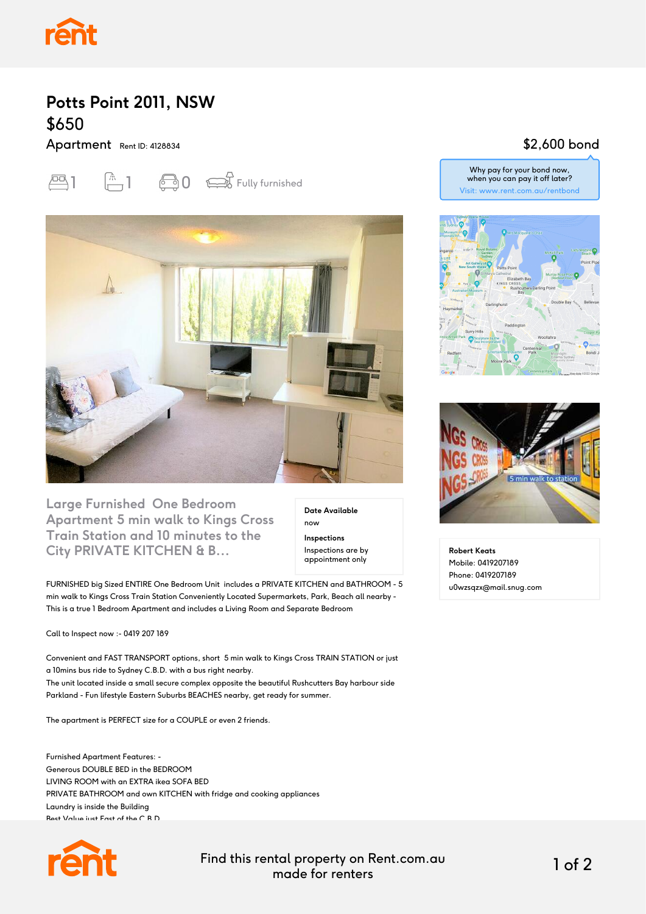

## **Potts Point 2011, NSW** \$650

Apartment Rent ID: 4128834





**Large Furnished One Bedroom Apartment 5 min walk to Kings Cross Train Station and 10 minutes to the City PRIVATE KITCHEN & B...**

**Date Available** now **Inspections** Inspections are by appointment only

FURNISHED big Sized ENTIRE One Bedroom Unit includes a PRIVATE KITCHEN and BATHROOM - 5 min walk to Kings Cross Train Station Conveniently Located Supermarkets, Park, Beach all nearby - This is a true 1 Bedroom Apartment and includes a Living Room and Separate Bedroom

Call to Inspect now :- 0419 207 189

Convenient and FAST TRANSPORT options, short 5 min walk to Kings Cross TRAIN STATION or just a 10mins bus ride to Sydney C.B.D. with a bus right nearby. The unit located inside a small secure complex opposite the beautiful Rushcutters Bay harbour side Parkland - Fun lifestyle Eastern Suburbs BEACHES nearby, get ready for summer.

The apartment is PERFECT size for a COUPLE or even 2 friends.

Furnished Apartment Features: - Generous DOUBLE BED in the BEDROOM LIVING ROOM with an EXTRA ikea SOFA BED PRIVATE BATHROOM and own KITCHEN with fridge and cooking appliances Laundry is inside the Building Best Value just East of the C.B.D.



Find this rental property on Rent.com.au made for renters 1 of 2

### \$2,600 bond

Why pay for your bond now, when you can pay it off later? Visit: www.rent.com.au/rentbond





**Robert Keats** Mobile: 0419207189 Phone: 0419207189 u0wzsqzx@mail.snug.com